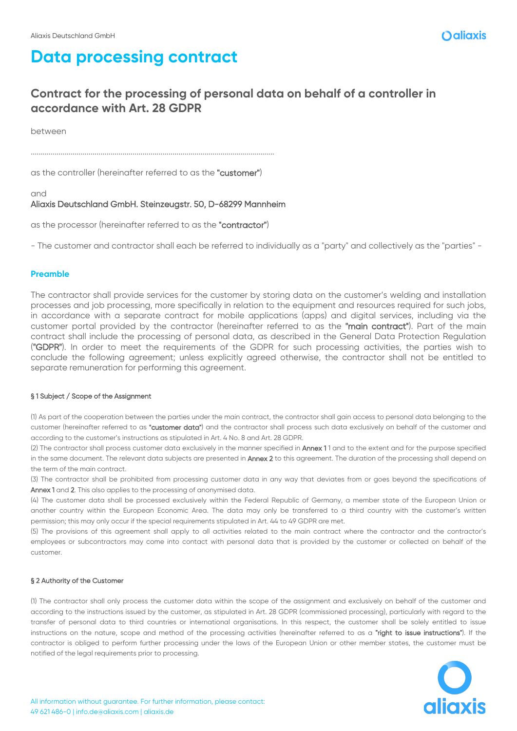### **Contract for the processing of personal data on behalf of a controller in accordance with Art. 28 GDPR**

between

..........................................................................................................................

as the controller (hereinafter referred to as the "customer")

and

### Aliaxis Deutschland GmbH. Steinzeugstr. 50, D-68299 Mannheim

as the processor (hereinafter referred to as the "contractor")

- The customer and contractor shall each be referred to individually as a "party" and collectively as the "parties" -

#### **Preamble**

The contractor shall provide services for the customer by storing data on the customer's welding and installation processes and job processing, more specifically in relation to the equipment and resources required for such jobs, in accordance with a separate contract for mobile applications (apps) and digital services, including via the customer portal provided by the contractor (hereinafter referred to as the "main contract"). Part of the main contract shall include the processing of personal data, as described in the General Data Protection Regulation ("GDPR"). In order to meet the requirements of the GDPR for such processing activities, the parties wish to conclude the following agreement; unless explicitly agreed otherwise, the contractor shall not be entitled to separate remuneration for performing this agreement.

#### § 1 Subject / Scope of the Assignment

(1) As part of the cooperation between the parties under the main contract, the contractor shall gain access to personal data belonging to the customer (hereinafter referred to as "customer data") and the contractor shall process such data exclusively on behalf of the customer and according to the customer's instructions as stipulated in Art. 4 No. 8 and Art. 28 GDPR.

(2) The contractor shall process customer data exclusively in the manner specified in **Annex 1**1 and to the extent and for the purpose specified in the same document. The relevant data subjects are presented in Annex 2 to this agreement. The duration of the processing shall depend on the term of the main contract.

(3) The contractor shall be prohibited from processing customer data in any way that deviates from or goes beyond the specifications of Annex 1 and 2. This also applies to the processing of anonymised data.

(4) The customer data shall be processed exclusively within the Federal Republic of Germany, a member state of the European Union or another country within the European Economic Area. The data may only be transferred to a third country with the customer's written permission; this may only occur if the special requirements stipulated in Art. 44 to 49 GDPR are met.

(5) The provisions of this agreement shall apply to all activities related to the main contract where the contractor and the contractor's employees or subcontractors may come into contact with personal data that is provided by the customer or collected on behalf of the customer.

#### § 2 Authority of the Customer

(1) The contractor shall only process the customer data within the scope of the assignment and exclusively on behalf of the customer and according to the instructions issued by the customer, as stipulated in Art. 28 GDPR (commissioned processing), particularly with regard to the transfer of personal data to third countries or international organisations. In this respect, the customer shall be solely entitled to issue instructions on the nature, scope and method of the processing activities (hereinafter referred to as a "right to issue instructions"). If the contractor is obliged to perform further processing under the laws of the European Union or other member states, the customer must be notified of the legal requirements prior to processing.

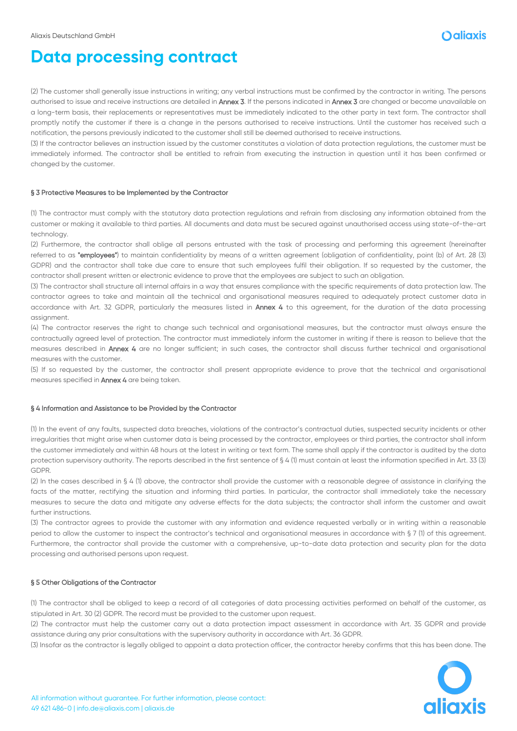(2) The customer shall generally issue instructions in writing; any verbal instructions must be confirmed by the contractor in writing. The persons authorised to issue and receive instructions are detailed in Annex 3. If the persons indicated in Annex 3 are changed or become unavailable on a long-term basis, their replacements or representatives must be immediately indicated to the other party in text form. The contractor shall promptly notify the customer if there is a change in the persons authorised to receive instructions. Until the customer has received such a notification, the persons previously indicated to the customer shall still be deemed authorised to receive instructions.

(3) If the contractor believes an instruction issued by the customer constitutes a violation of data protection regulations, the customer must be immediately informed. The contractor shall be entitled to refrain from executing the instruction in question until it has been confirmed or changed by the customer.

#### § 3 Protective Measures to be Implemented by the Contractor

(1) The contractor must comply with the statutory data protection regulations and refrain from disclosing any information obtained from the customer or making it available to third parties. All documents and data must be secured against unauthorised access using state-of-the-art technology.

(2) Furthermore, the contractor shall oblige all persons entrusted with the task of processing and performing this agreement (hereinafter referred to as "employees") to maintain confidentiality by means of a written agreement (obligation of confidentiality, point (b) of Art. 28 (3) GDPR) and the contractor shall take due care to ensure that such employees fulfil their obligation. If so requested by the customer, the contractor shall present written or electronic evidence to prove that the employees are subject to such an obligation.

(3) The contractor shall structure all internal affairs in a way that ensures compliance with the specific requirements of data protection law. The contractor agrees to take and maintain all the technical and organisational measures required to adequately protect customer data in accordance with Art. 32 GDPR, particularly the measures listed in **Annex 4** to this agreement, for the duration of the data processing assignment.

(4) The contractor reserves the right to change such technical and organisational measures, but the contractor must always ensure the contractually agreed level of protection. The contractor must immediately inform the customer in writing if there is reason to believe that the measures described in Annex 4 are no longer sufficient; in such cases, the contractor shall discuss further technical and organisational measures with the customer.

(5) If so requested by the customer, the contractor shall present appropriate evidence to prove that the technical and organisational measures specified in Annex 4 are being taken.

#### § 4 Information and Assistance to be Provided by the Contractor

(1) In the event of any faults, suspected data breaches, violations of the contractor's contractual duties, suspected security incidents or other irregularities that might arise when customer data is being processed by the contractor, employees or third parties, the contractor shall inform the customer immediately and within 48 hours at the latest in writing or text form. The same shall apply if the contractor is audited by the data protection supervisory authority. The reports described in the first sentence of § 4 (1) must contain at least the information specified in Art. 33 (3) GDPR.

(2) In the cases described in § 4 (1) above, the contractor shall provide the customer with a reasonable degree of assistance in clarifying the facts of the matter, rectifying the situation and informing third parties. In particular, the contractor shall immediately take the necessary measures to secure the data and mitigate any adverse effects for the data subjects; the contractor shall inform the customer and await further instructions.

(3) The contractor agrees to provide the customer with any information and evidence requested verbally or in writing within a reasonable period to allow the customer to inspect the contractor's technical and organisational measures in accordance with § 7 (1) of this agreement. Furthermore, the contractor shall provide the customer with a comprehensive, up-to-date data protection and security plan for the data processing and authorised persons upon request.

#### § 5 Other Obligations of the Contractor

(1) The contractor shall be obliged to keep a record of all categories of data processing activities performed on behalf of the customer, as stipulated in Art. 30 (2) GDPR. The record must be provided to the customer upon request.

(2) The contractor must help the customer carry out a data protection impact assessment in accordance with Art. 35 GDPR and provide assistance during any prior consultations with the supervisory authority in accordance with Art. 36 GDPR.

(3) Insofar as the contractor is legally obliged to appoint a data protection officer, the contractor hereby confirms that this has been done. The

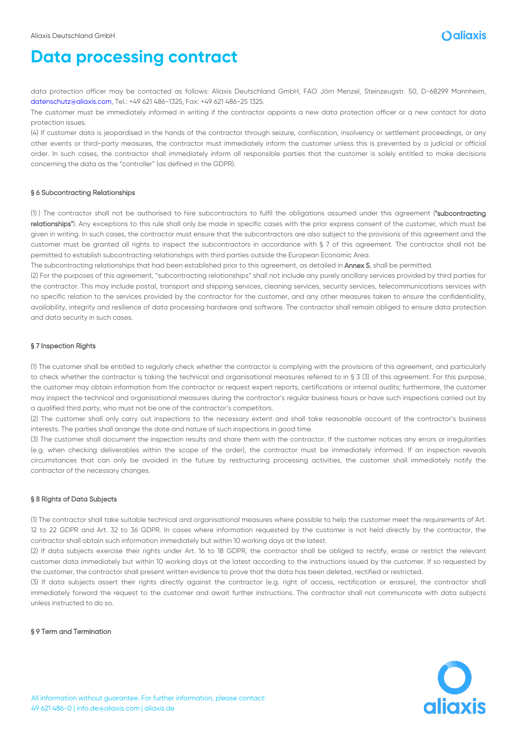

data protection officer may be contacted as follows: Aliaxis Deutschland GmbH, FAO Jörn Menzel, Steinzeugstr. 50, D-68299 Mannheim, datenschutz@aliaxis.com, Tel.: +49 621 486-1325, Fax: +49 621 486-25 1325.

The customer must be immediately informed in writing if the contractor appoints a new data protection officer or a new contact for data protection issues.

(4) If customer data is jeopardised in the hands of the contractor through seizure, confiscation, insolvency or settlement proceedings, or any other events or third-party measures, the contractor must immediately inform the customer unless this is prevented by a judicial or official order. In such cases, the contractor shall immediately inform all responsible parties that the customer is solely entitled to make decisions concerning the data as the "controller" (as defined in the GDPR).

#### § 6 Subcontracting Relationships

(1) ) The contractor shall not be authorised to hire subcontractors to fulfil the obligations assumed under this agreement ("subcontracting relationships"). Any exceptions to this rule shall only be made in specific cases with the prior express consent of the customer, which must be given in writing. In such cases, the contractor must ensure that the subcontractors are also subject to the provisions of this agreement and the customer must be granted all rights to inspect the subcontractors in accordance with § 7 of this agreement. The contractor shall not be permitted to establish subcontracting relationships with third parties outside the European Economic Area.

The subcontracting relationships that had been established prior to this agreement, as detailed in Annex 5, shall be permitted.

(2) For the purposes of this agreement, "subcontracting relationships" shall not include any purely ancillary services provided by third parties for the contractor. This may include postal, transport and shipping services, cleaning services, security services, telecommunications services with no specific relation to the services provided by the contractor for the customer, and any other measures taken to ensure the confidentiality, availability, integrity and resilience of data processing hardware and software. The contractor shall remain obliged to ensure data protection and data security in such cases.

#### § 7 Inspection Rights

(1) The customer shall be entitled to regularly check whether the contractor is complying with the provisions of this agreement, and particularly to check whether the contractor is taking the technical and organisational measures referred to in § 3 (3) of this agreement. For this purpose, the customer may obtain information from the contractor or request expert reports, certifications or internal audits; furthermore, the customer may inspect the technical and organisational measures during the contractor's regular business hours or have such inspections carried out by a qualified third party, who must not be one of the contractor's competitors.

(2) The customer shall only carry out inspections to the necessary extent and shall take reasonable account of the contractor's business interests. The parties shall arrange the date and nature of such inspections in good time.

(3) The customer shall document the inspection results and share them with the contractor. If the customer notices any errors or irregularities (e.g. when checking deliverables within the scope of the order), the contractor must be immediately informed. If an inspection reveals circumstances that can only be avoided in the future by restructuring processing activities, the customer shall immediately notify the contractor of the necessary changes.

#### § 8 Rights of Data Subjects

(1) The contractor shall take suitable technical and organisational measures where possible to help the customer meet the requirements of Art. 12 to 22 GDPR and Art. 32 to 36 GDPR. In cases where information requested by the customer is not held directly by the contractor, the contractor shall obtain such information immediately but within 10 working days at the latest.

(2) If data subjects exercise their rights under Art. 16 to 18 GDPR, the contractor shall be obliged to rectify, erase or restrict the relevant customer data immediately but within 10 working days at the latest according to the instructions issued by the customer. If so requested by the customer, the contractor shall present written evidence to prove that the data has been deleted, rectified or restricted.

(3) If data subjects assert their rights directly against the contractor (e.g. right of access, rectification or erasure), the contractor shall immediately forward the request to the customer and await further instructions. The contractor shall not communicate with data subjects unless instructed to do so.

#### § 9 Term and Termination

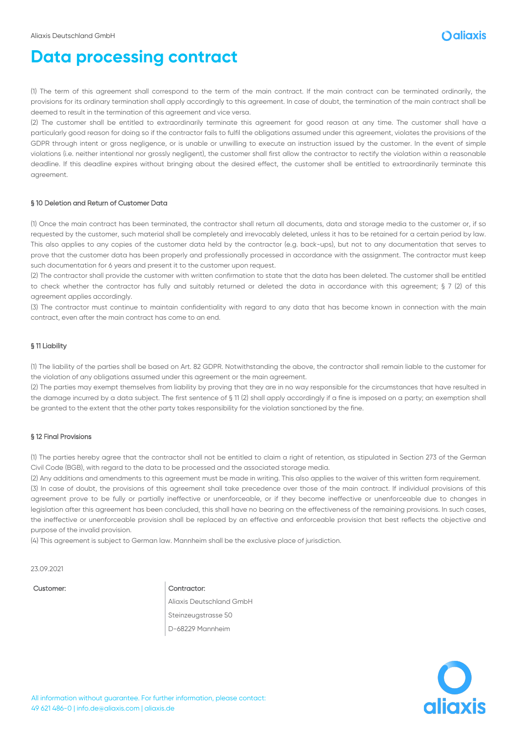

(1) The term of this agreement shall correspond to the term of the main contract. If the main contract can be terminated ordinarily, the provisions for its ordinary termination shall apply accordingly to this agreement. In case of doubt, the termination of the main contract shall be deemed to result in the termination of this agreement and vice versa.

(2) The customer shall be entitled to extraordinarily terminate this agreement for good reason at any time. The customer shall have a particularly good reason for doing so if the contractor fails to fulfil the obligations assumed under this agreement, violates the provisions of the GDPR through intent or gross negligence, or is unable or unwilling to execute an instruction issued by the customer. In the event of simple violations (i.e. neither intentional nor grossly negligent), the customer shall first allow the contractor to rectify the violation within a reasonable deadline. If this deadline expires without bringing about the desired effect, the customer shall be entitled to extraordinarily terminate this agreement.

#### § 10 Deletion and Return of Customer Data

(1) Once the main contract has been terminated, the contractor shall return all documents, data and storage media to the customer or, if so requested by the customer, such material shall be completely and irrevocably deleted, unless it has to be retained for a certain period by law. This also applies to any copies of the customer data held by the contractor (e.g. back-ups), but not to any documentation that serves to prove that the customer data has been properly and professionally processed in accordance with the assignment. The contractor must keep such documentation for 6 years and present it to the customer upon request.

(2) The contractor shall provide the customer with written confirmation to state that the data has been deleted. The customer shall be entitled to check whether the contractor has fully and suitably returned or deleted the data in accordance with this agreement; § 7 (2) of this agreement applies accordingly.

(3) The contractor must continue to maintain confidentiality with regard to any data that has become known in connection with the main contract, even after the main contract has come to an end.

#### § 11 Liability

(1) The liability of the parties shall be based on Art. 82 GDPR. Notwithstanding the above, the contractor shall remain liable to the customer for the violation of any obligations assumed under this agreement or the main agreement.

(2) The parties may exempt themselves from liability by proving that they are in no way responsible for the circumstances that have resulted in the damage incurred by a data subject. The first sentence of § 11 (2) shall apply accordingly if a fine is imposed on a party; an exemption shall be granted to the extent that the other party takes responsibility for the violation sanctioned by the fine.

#### § 12 Final Provisions

(1) The parties hereby agree that the contractor shall not be entitled to claim a right of retention, as stipulated in Section 273 of the German Civil Code (BGB), with regard to the data to be processed and the associated storage media.

(2) Any additions and amendments to this agreement must be made in writing. This also applies to the waiver of this written form requirement. (3) In case of doubt, the provisions of this agreement shall take precedence over those of the main contract. If individual provisions of this agreement prove to be fully or partially ineffective or unenforceable, or if they become ineffective or unenforceable due to changes in legislation after this agreement has been concluded, this shall have no bearing on the effectiveness of the remaining provisions. In such cases, the ineffective or unenforceable provision shall be replaced by an effective and enforceable provision that best reflects the objective and purpose of the invalid provision.

(4) This agreement is subject to German law. Mannheim shall be the exclusive place of jurisdiction.

23.09.2021

#### Customer: Contractor:

Aliaxis Deutschland GmbH Steinzeugstrasse 50 D-68229 Mannheim

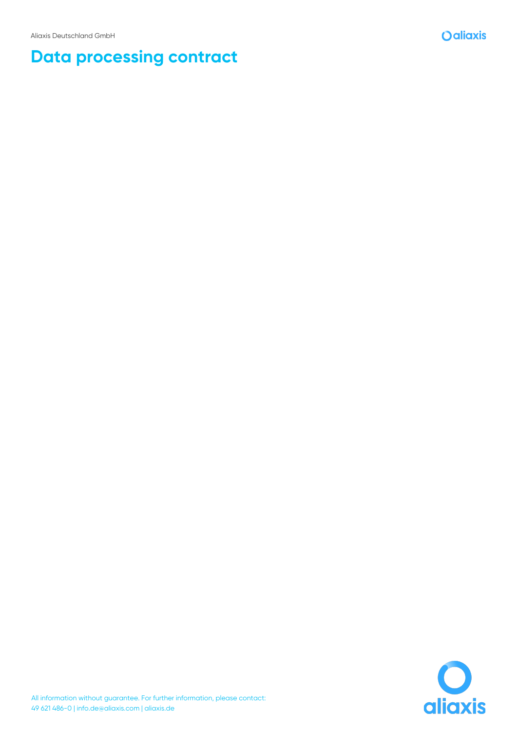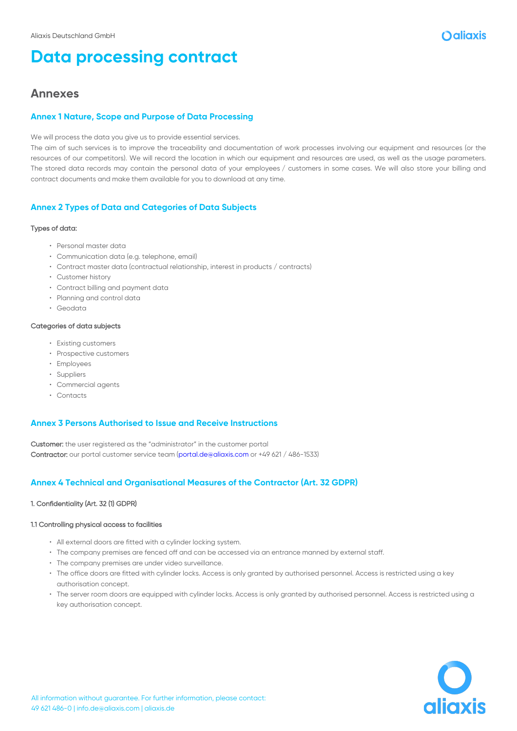### **Annexes**

#### **Annex 1 Nature, Scope and Purpose of Data Processing**

We will process the data you give us to provide essential services.

The aim of such services is to improve the traceability and documentation of work processes involving our equipment and resources (or the resources of our competitors). We will record the location in which our equipment and resources are used, as well as the usage parameters. The stored data records may contain the personal data of your employees / customers in some cases. We will also store your billing and contract documents and make them available for you to download at any time.

#### **Annex 2 Types of Data and Categories of Data Subjects**

#### Types of data:

- Personal master data
- Communication data (e.g. telephone, email)
- Contract master data (contractual relationship, interest in products / contracts)
- Customer history
- Contract billing and payment data
- Planning and control data
- Geodata

#### Categories of data subjects

- Existing customers
- Prospective customers
- Employees
- Suppliers
- Commercial agents
- Contacts

#### **Annex 3 Persons Authorised to Issue and Receive Instructions**

Customer: the user registered as the "administrator" in the customer portal Contractor: our portal customer service team (portal.de@aliaxis.com or +49 621 / 486-1533)

#### **Annex 4 Technical and Organisational Measures of the Contractor (Art. 32 GDPR)**

#### 1. Confidentiality (Art. 32 (1) GDPR)

#### 1.1 Controlling physical access to facilities

- All external doors are fitted with a cylinder locking system.
- The company premises are fenced off and can be accessed via an entrance manned by external staff.
- The company premises are under video surveillance.
- The office doors are fitted with cylinder locks. Access is only granted by authorised personnel. Access is restricted using a key authorisation concept.
- The server room doors are equipped with cylinder locks. Access is only granted by authorised personnel. Access is restricted using a key authorisation concept.

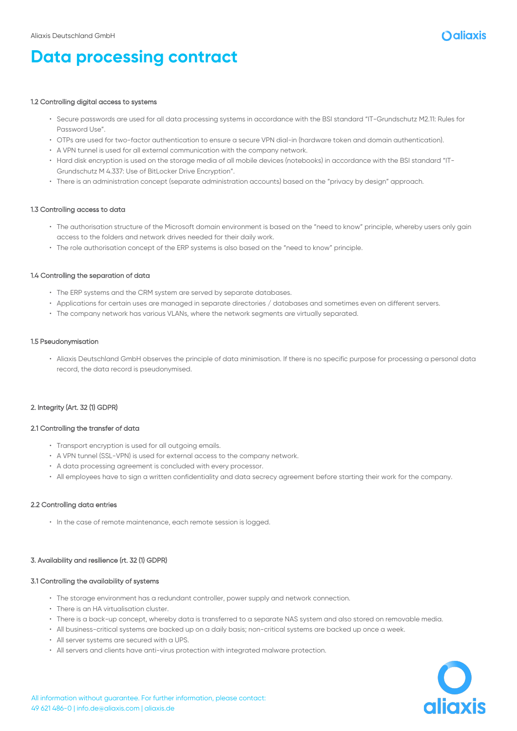

#### 1.2 Controlling digital access to systems

- Secure passwords are used for all data processing systems in accordance with the BSI standard "IT-Grundschutz M2.11: Rules for Password Use".
- OTPs are used for two-factor authentication to ensure a secure VPN dial-in (hardware token and domain authentication).
- A VPN tunnel is used for all external communication with the company network.
- Hard disk encryption is used on the storage media of all mobile devices (notebooks) in accordance with the BSI standard "IT-Grundschutz M 4.337: Use of BitLocker Drive Encryption".
- There is an administration concept (separate administration accounts) based on the "privacy by design" approach.

#### 1.3 Controlling access to data

- The authorisation structure of the Microsoft domain environment is based on the "need to know" principle, whereby users only gain access to the folders and network drives needed for their daily work.
- The role authorisation concept of the ERP systems is also based on the "need to know" principle.

#### 1.4 Controlling the separation of data

- The ERP systems and the CRM system are served by separate databases.
- Applications for certain uses are managed in separate directories / databases and sometimes even on different servers.
- The company network has various VLANs, where the network segments are virtually separated.

#### 1.5 Pseudonymisation

• Aliaxis Deutschland GmbH observes the principle of data minimisation. If there is no specific purpose for processing a personal data record, the data record is pseudonymised.

#### 2. Integrity (Art. 32 (1) GDPR)

#### 2.1 Controlling the transfer of data

- Transport encryption is used for all outgoing emails.
- A VPN tunnel (SSL-VPN) is used for external access to the company network.
- A data processing agreement is concluded with every processor.
- All employees have to sign a written confidentiality and data secrecy agreement before starting their work for the company.

#### 2.2 Controlling data entries

• In the case of remote maintenance, each remote session is logged.

#### 3. Availability and resilience (rt. 32 (1) GDPR)

#### 3.1 Controlling the availability of systems

- The storage environment has a redundant controller, power supply and network connection.
- There is an HA virtualisation cluster.
- There is a back-up concept, whereby data is transferred to a separate NAS system and also stored on removable media.
- All business-critical systems are backed up on a daily basis; non-critical systems are backed up once a week.
- All server systems are secured with a UPS.
- All servers and clients have anti-virus protection with integrated malware protection.